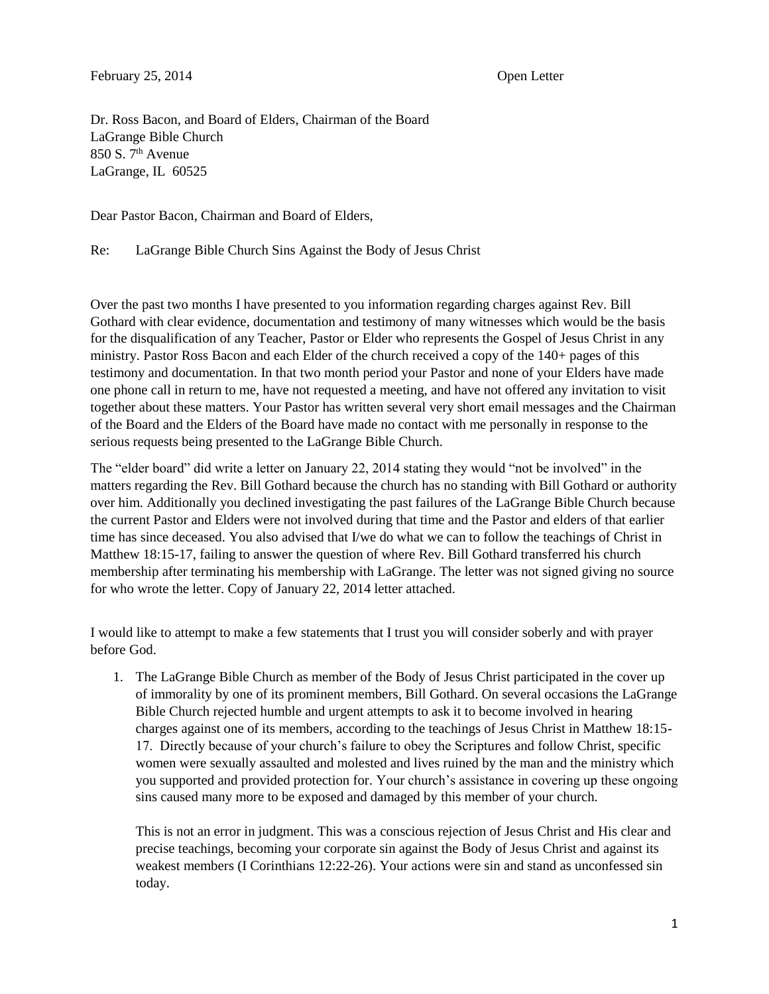Dr. Ross Bacon, and Board of Elders, Chairman of the Board LaGrange Bible Church  $850 S$ .  $7<sup>th</sup>$  Avenue LaGrange, IL 60525

Dear Pastor Bacon, Chairman and Board of Elders,

Re: LaGrange Bible Church Sins Against the Body of Jesus Christ

Over the past two months I have presented to you information regarding charges against Rev. Bill Gothard with clear evidence, documentation and testimony of many witnesses which would be the basis for the disqualification of any Teacher, Pastor or Elder who represents the Gospel of Jesus Christ in any ministry. Pastor Ross Bacon and each Elder of the church received a copy of the 140+ pages of this testimony and documentation. In that two month period your Pastor and none of your Elders have made one phone call in return to me, have not requested a meeting, and have not offered any invitation to visit together about these matters. Your Pastor has written several very short email messages and the Chairman of the Board and the Elders of the Board have made no contact with me personally in response to the serious requests being presented to the LaGrange Bible Church.

The "elder board" did write a letter on January 22, 2014 stating they would "not be involved" in the matters regarding the Rev. Bill Gothard because the church has no standing with Bill Gothard or authority over him. Additionally you declined investigating the past failures of the LaGrange Bible Church because the current Pastor and Elders were not involved during that time and the Pastor and elders of that earlier time has since deceased. You also advised that I/we do what we can to follow the teachings of Christ in Matthew 18:15-17, failing to answer the question of where Rev. Bill Gothard transferred his church membership after terminating his membership with LaGrange. The letter was not signed giving no source for who wrote the letter. Copy of January 22, 2014 letter attached.

I would like to attempt to make a few statements that I trust you will consider soberly and with prayer before God.

1. The LaGrange Bible Church as member of the Body of Jesus Christ participated in the cover up of immorality by one of its prominent members, Bill Gothard. On several occasions the LaGrange Bible Church rejected humble and urgent attempts to ask it to become involved in hearing charges against one of its members, according to the teachings of Jesus Christ in Matthew 18:15- 17. Directly because of your church's failure to obey the Scriptures and follow Christ, specific women were sexually assaulted and molested and lives ruined by the man and the ministry which you supported and provided protection for. Your church's assistance in covering up these ongoing sins caused many more to be exposed and damaged by this member of your church.

This is not an error in judgment. This was a conscious rejection of Jesus Christ and His clear and precise teachings, becoming your corporate sin against the Body of Jesus Christ and against its weakest members (I Corinthians 12:22-26). Your actions were sin and stand as unconfessed sin today.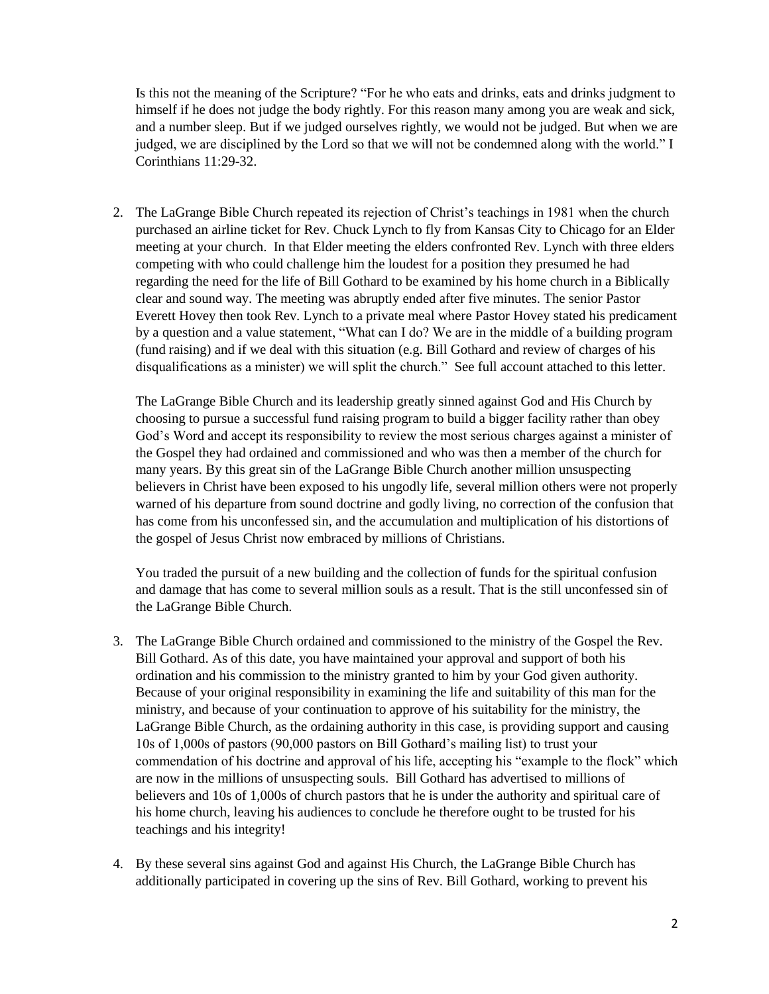Is this not the meaning of the Scripture? "For he who eats and drinks, eats and drinks judgment to himself if he does not judge the body rightly. For this reason many among you are weak and sick, and a number sleep. But if we judged ourselves rightly, we would not be judged. But when we are judged, we are disciplined by the Lord so that we will not be condemned along with the world." I Corinthians 11:29-32.

2. The LaGrange Bible Church repeated its rejection of Christ's teachings in 1981 when the church purchased an airline ticket for Rev. Chuck Lynch to fly from Kansas City to Chicago for an Elder meeting at your church. In that Elder meeting the elders confronted Rev. Lynch with three elders competing with who could challenge him the loudest for a position they presumed he had regarding the need for the life of Bill Gothard to be examined by his home church in a Biblically clear and sound way. The meeting was abruptly ended after five minutes. The senior Pastor Everett Hovey then took Rev. Lynch to a private meal where Pastor Hovey stated his predicament by a question and a value statement, "What can I do? We are in the middle of a building program (fund raising) and if we deal with this situation (e.g. Bill Gothard and review of charges of his disqualifications as a minister) we will split the church." See full account attached to this letter.

The LaGrange Bible Church and its leadership greatly sinned against God and His Church by choosing to pursue a successful fund raising program to build a bigger facility rather than obey God's Word and accept its responsibility to review the most serious charges against a minister of the Gospel they had ordained and commissioned and who was then a member of the church for many years. By this great sin of the LaGrange Bible Church another million unsuspecting believers in Christ have been exposed to his ungodly life, several million others were not properly warned of his departure from sound doctrine and godly living, no correction of the confusion that has come from his unconfessed sin, and the accumulation and multiplication of his distortions of the gospel of Jesus Christ now embraced by millions of Christians.

You traded the pursuit of a new building and the collection of funds for the spiritual confusion and damage that has come to several million souls as a result. That is the still unconfessed sin of the LaGrange Bible Church.

- 3. The LaGrange Bible Church ordained and commissioned to the ministry of the Gospel the Rev. Bill Gothard. As of this date, you have maintained your approval and support of both his ordination and his commission to the ministry granted to him by your God given authority. Because of your original responsibility in examining the life and suitability of this man for the ministry, and because of your continuation to approve of his suitability for the ministry, the LaGrange Bible Church, as the ordaining authority in this case, is providing support and causing 10s of 1,000s of pastors (90,000 pastors on Bill Gothard's mailing list) to trust your commendation of his doctrine and approval of his life, accepting his "example to the flock" which are now in the millions of unsuspecting souls. Bill Gothard has advertised to millions of believers and 10s of 1,000s of church pastors that he is under the authority and spiritual care of his home church, leaving his audiences to conclude he therefore ought to be trusted for his teachings and his integrity!
- 4. By these several sins against God and against His Church, the LaGrange Bible Church has additionally participated in covering up the sins of Rev. Bill Gothard, working to prevent his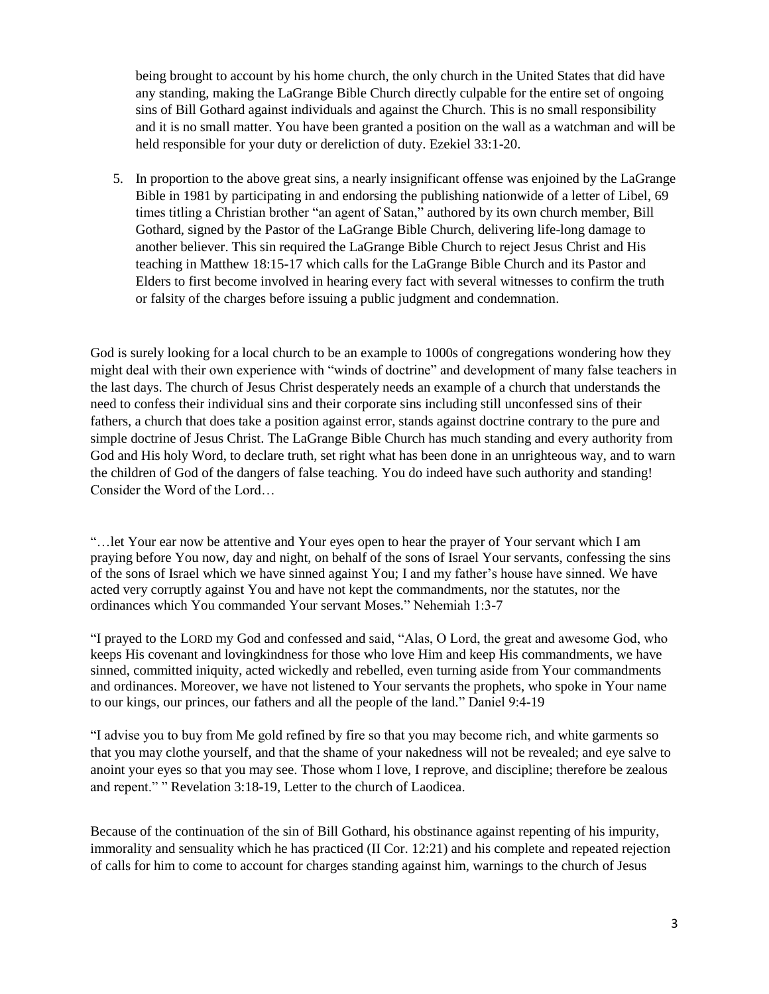being brought to account by his home church, the only church in the United States that did have any standing, making the LaGrange Bible Church directly culpable for the entire set of ongoing sins of Bill Gothard against individuals and against the Church. This is no small responsibility and it is no small matter. You have been granted a position on the wall as a watchman and will be held responsible for your duty or dereliction of duty. Ezekiel 33:1-20.

5. In proportion to the above great sins, a nearly insignificant offense was enjoined by the LaGrange Bible in 1981 by participating in and endorsing the publishing nationwide of a letter of Libel, 69 times titling a Christian brother "an agent of Satan," authored by its own church member, Bill Gothard, signed by the Pastor of the LaGrange Bible Church, delivering life-long damage to another believer. This sin required the LaGrange Bible Church to reject Jesus Christ and His teaching in Matthew 18:15-17 which calls for the LaGrange Bible Church and its Pastor and Elders to first become involved in hearing every fact with several witnesses to confirm the truth or falsity of the charges before issuing a public judgment and condemnation.

God is surely looking for a local church to be an example to 1000s of congregations wondering how they might deal with their own experience with "winds of doctrine" and development of many false teachers in the last days. The church of Jesus Christ desperately needs an example of a church that understands the need to confess their individual sins and their corporate sins including still unconfessed sins of their fathers, a church that does take a position against error, stands against doctrine contrary to the pure and simple doctrine of Jesus Christ. The LaGrange Bible Church has much standing and every authority from God and His holy Word, to declare truth, set right what has been done in an unrighteous way, and to warn the children of God of the dangers of false teaching. You do indeed have such authority and standing! Consider the Word of the Lord…

"…let Your ear now be attentive and Your eyes open to hear the prayer of Your servant which I am praying before You now, day and night, on behalf of the sons of Israel Your servants, confessing the sins of the sons of Israel which we have sinned against You; I and my father's house have sinned. We have acted very corruptly against You and have not kept the commandments, nor the statutes, nor the ordinances which You commanded Your servant Moses." Nehemiah 1:3-7

"I prayed to the LORD my God and confessed and said, "Alas, O Lord, the great and awesome God, who keeps His covenant and lovingkindness for those who love Him and keep His commandments, we have sinned, committed iniquity, acted wickedly and rebelled, even turning aside from Your commandments and ordinances. Moreover, we have not listened to Your servants the prophets, who spoke in Your name to our kings, our princes, our fathers and all the people of the land." Daniel 9:4-19

"I advise you to buy from Me gold refined by fire so that you may become rich, and white garments so that you may clothe yourself, and that the shame of your nakedness will not be revealed; and eye salve to anoint your eyes so that you may see. Those whom I love, I reprove, and discipline; therefore be zealous and repent." " Revelation 3:18-19, Letter to the church of Laodicea.

Because of the continuation of the sin of Bill Gothard, his obstinance against repenting of his impurity, immorality and sensuality which he has practiced (II Cor. 12:21) and his complete and repeated rejection of calls for him to come to account for charges standing against him, warnings to the church of Jesus